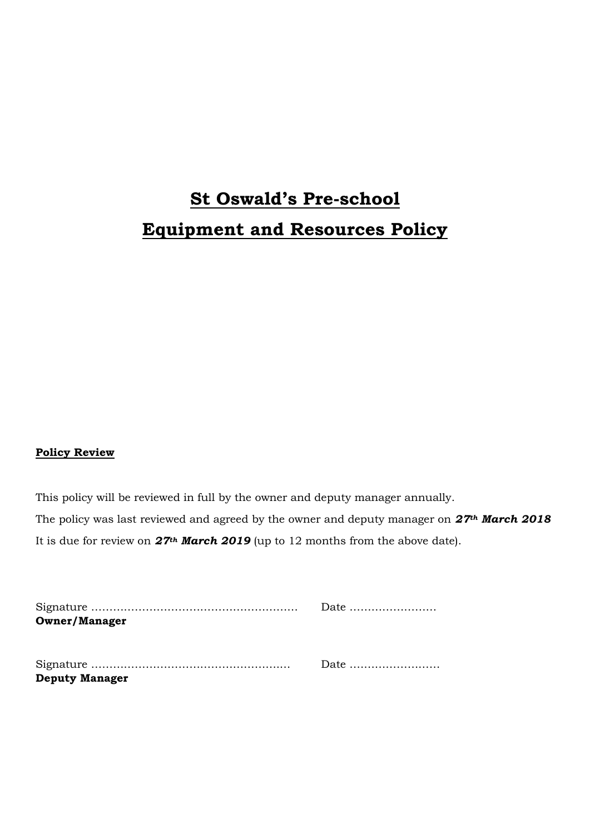# **St Oswald's Pre-school Equipment and Resources Policy**

### **Policy Review**

This policy will be reviewed in full by the owner and deputy manager annually. The policy was last reviewed and agreed by the owner and deputy manager on *27th March 2018* It is due for review on *27th March 2019* (up to 12 months from the above date).

| <b>Owner/Manager</b>  |  |
|-----------------------|--|
|                       |  |
|                       |  |
|                       |  |
| <b>Deputy Manager</b> |  |